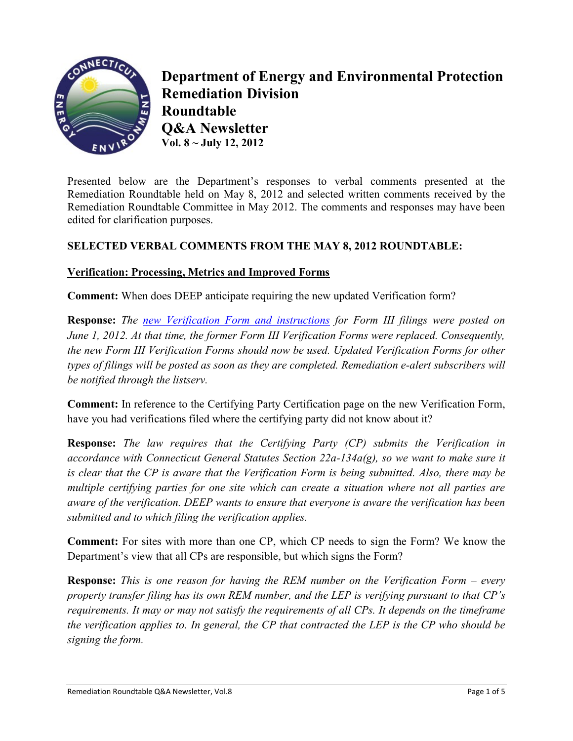

**Department of Energy and Environmental Protection Remediation Division Roundtable Q&A Newsletter Vol. 8 ~ July 12, 2012**

Presented below are the Department"s responses to verbal comments presented at the Remediation Roundtable held on May 8, 2012 and selected written comments received by the Remediation Roundtable Committee in May 2012. The comments and responses may have been edited for clarification purposes.

## **SELECTED VERBAL COMMENTS FROM THE MAY 8, 2012 ROUNDTABLE:**

#### **Verification: Processing, Metrics and Improved Forms**

**Comment:** When does DEEP anticipate requiring the new updated Verification form?

**Response:** *The [new Verification Form and instructions](http://www.ct.gov/dep/cwp/view.asp?a=2715&q=324988&depNav_GID=1626) for Form III filings were posted on June 1, 2012. At that time, the former Form III Verification Forms were replaced. Consequently, the new Form III Verification Forms should now be used. Updated Verification Forms for other types of filings will be posted as soon as they are completed. Remediation e-alert subscribers will be notified through the listserv.*

**Comment:** In reference to the Certifying Party Certification page on the new Verification Form, have you had verifications filed where the certifying party did not know about it?

**Response:** *The law requires that the Certifying Party (CP) submits the Verification in accordance with Connecticut General Statutes Section 22a-134a(g), so we want to make sure it is clear that the CP is aware that the Verification Form is being submitted. Also, there may be multiple certifying parties for one site which can create a situation where not all parties are aware of the verification. DEEP wants to ensure that everyone is aware the verification has been submitted and to which filing the verification applies.* 

**Comment:** For sites with more than one CP, which CP needs to sign the Form? We know the Department's view that all CPs are responsible, but which signs the Form?

**Response:** *This is one reason for having the REM number on the Verification Form – every property transfer filing has its own REM number, and the LEP is verifying pursuant to that CP's requirements. It may or may not satisfy the requirements of all CPs. It depends on the timeframe the verification applies to. In general, the CP that contracted the LEP is the CP who should be signing the form.*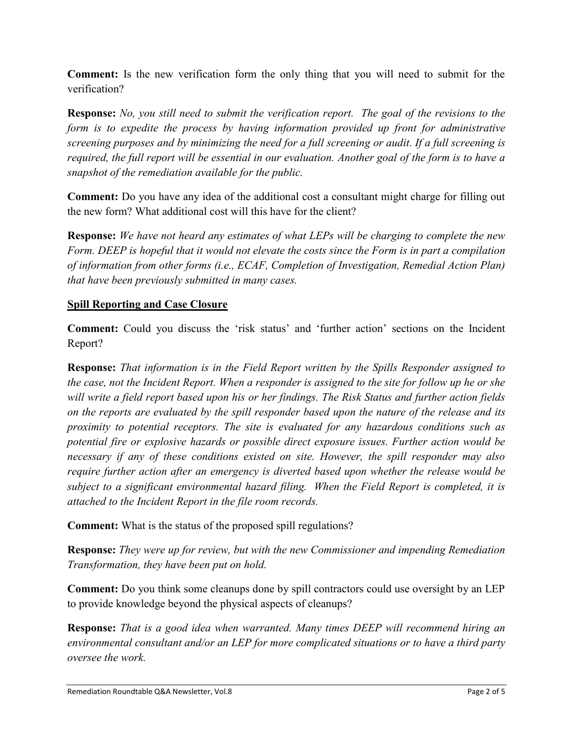**Comment:** Is the new verification form the only thing that you will need to submit for the verification?

**Response:** *No, you still need to submit the verification report. The goal of the revisions to the form is to expedite the process by having information provided up front for administrative screening purposes and by minimizing the need for a full screening or audit. If a full screening is required, the full report will be essential in our evaluation. Another goal of the form is to have a snapshot of the remediation available for the public.* 

**Comment:** Do you have any idea of the additional cost a consultant might charge for filling out the new form? What additional cost will this have for the client?

**Response:** *We have not heard any estimates of what LEPs will be charging to complete the new Form. DEEP is hopeful that it would not elevate the costs since the Form is in part a compilation of information from other forms (i.e., ECAF, Completion of Investigation, Remedial Action Plan) that have been previously submitted in many cases.*

# **Spill Reporting and Case Closure**

**Comment:** Could you discuss the 'risk status' and 'further action' sections on the Incident Report?

**Response:** *That information is in the Field Report written by the Spills Responder assigned to the case, not the Incident Report. When a responder is assigned to the site for follow up he or she will write a field report based upon his or her findings. The Risk Status and further action fields on the reports are evaluated by the spill responder based upon the nature of the release and its proximity to potential receptors. The site is evaluated for any hazardous conditions such as potential fire or explosive hazards or possible direct exposure issues. Further action would be necessary if any of these conditions existed on site. However, the spill responder may also require further action after an emergency is diverted based upon whether the release would be subject to a significant environmental hazard filing. When the Field Report is completed, it is attached to the Incident Report in the file room records.*

**Comment:** What is the status of the proposed spill regulations?

**Response:** *They were up for review, but with the new Commissioner and impending Remediation Transformation, they have been put on hold.*

**Comment:** Do you think some cleanups done by spill contractors could use oversight by an LEP to provide knowledge beyond the physical aspects of cleanups?

**Response:** *That is a good idea when warranted. Many times DEEP will recommend hiring an environmental consultant and/or an LEP for more complicated situations or to have a third party oversee the work.*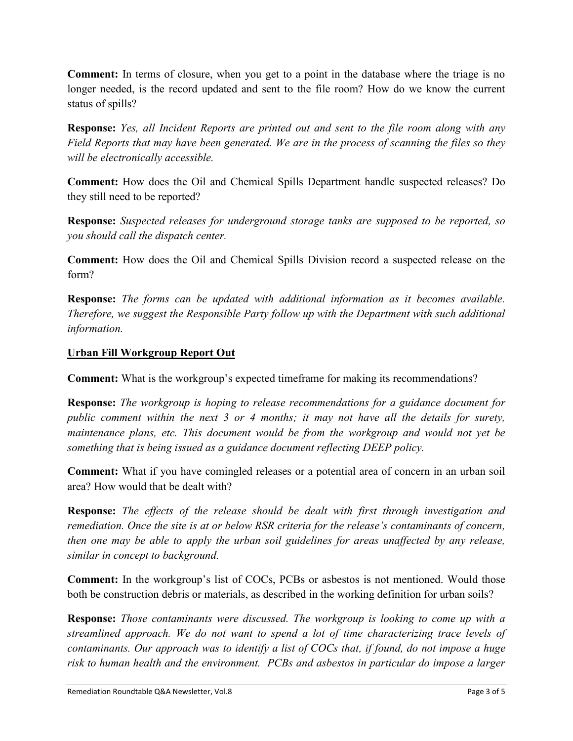**Comment:** In terms of closure, when you get to a point in the database where the triage is no longer needed, is the record updated and sent to the file room? How do we know the current status of spills?

**Response:** *Yes, all Incident Reports are printed out and sent to the file room along with any Field Reports that may have been generated. We are in the process of scanning the files so they will be electronically accessible.*

**Comment:** How does the Oil and Chemical Spills Department handle suspected releases? Do they still need to be reported?

**Response:** *Suspected releases for underground storage tanks are supposed to be reported, so you should call the dispatch center.*

**Comment:** How does the Oil and Chemical Spills Division record a suspected release on the form?

**Response:** *The forms can be updated with additional information as it becomes available. Therefore, we suggest the Responsible Party follow up with the Department with such additional information.*

## **Urban Fill Workgroup Report Out**

**Comment:** What is the workgroup's expected timeframe for making its recommendations?

**Response:** *The workgroup is hoping to release recommendations for a guidance document for public comment within the next 3 or 4 months; it may not have all the details for surety, maintenance plans, etc. This document would be from the workgroup and would not yet be something that is being issued as a guidance document reflecting DEEP policy.*

**Comment:** What if you have comingled releases or a potential area of concern in an urban soil area? How would that be dealt with?

**Response:** *The effects of the release should be dealt with first through investigation and remediation. Once the site is at or below RSR criteria for the release's contaminants of concern, then one may be able to apply the urban soil guidelines for areas unaffected by any release, similar in concept to background.*

**Comment:** In the workgroup's list of COCs, PCBs or asbestos is not mentioned. Would those both be construction debris or materials, as described in the working definition for urban soils?

**Response:** *Those contaminants were discussed. The workgroup is looking to come up with a streamlined approach. We do not want to spend a lot of time characterizing trace levels of contaminants. Our approach was to identify a list of COCs that, if found, do not impose a huge risk to human health and the environment. PCBs and asbestos in particular do impose a larger*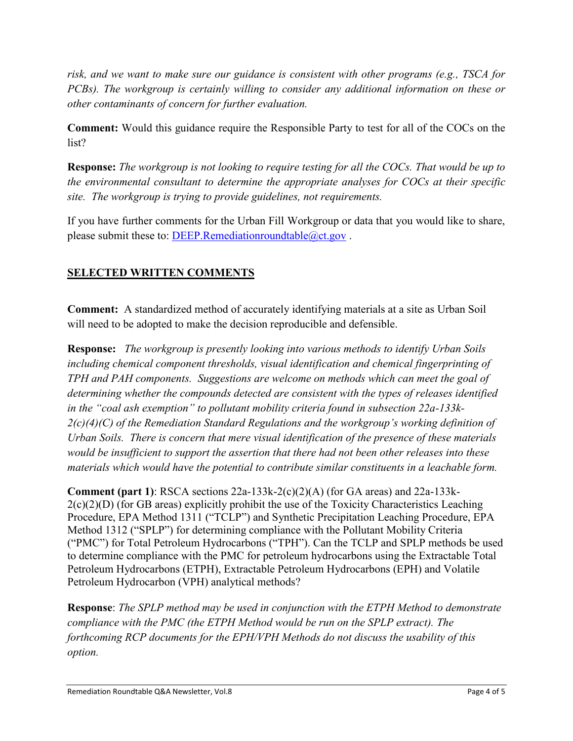*risk, and we want to make sure our guidance is consistent with other programs (e.g., TSCA for PCBs). The workgroup is certainly willing to consider any additional information on these or other contaminants of concern for further evaluation.*

**Comment:** Would this guidance require the Responsible Party to test for all of the COCs on the list?

**Response:** *The workgroup is not looking to require testing for all the COCs. That would be up to the environmental consultant to determine the appropriate analyses for COCs at their specific site. The workgroup is trying to provide guidelines, not requirements.*

If you have further comments for the Urban Fill Workgroup or data that you would like to share, please submit these to: [DEEP.Remediationroundtable@ct.gov](mailto:DEEP.Remediationroundtable@ct.gov).

# **SELECTED WRITTEN COMMENTS**

**Comment:** A standardized method of accurately identifying materials at a site as Urban Soil will need to be adopted to make the decision reproducible and defensible.

**Response:** *The workgroup is presently looking into various methods to identify Urban Soils including chemical component thresholds, visual identification and chemical fingerprinting of TPH and PAH components. Suggestions are welcome on methods which can meet the goal of determining whether the compounds detected are consistent with the types of releases identified in the "coal ash exemption" to pollutant mobility criteria found in subsection 22a-133k-2(c)(4)(C) of the Remediation Standard Regulations and the workgroup's working definition of Urban Soils. There is concern that mere visual identification of the presence of these materials would be insufficient to support the assertion that there had not been other releases into these materials which would have the potential to contribute similar constituents in a leachable form.*

**Comment (part 1)**: RSCA sections 22a-133k-2(c)(2)(A) (for GA areas) and 22a-133k- $2(c)(2)(D)$  (for GB areas) explicitly prohibit the use of the Toxicity Characteristics Leaching Procedure, EPA Method 1311 ("TCLP") and Synthetic Precipitation Leaching Procedure, EPA Method 1312 ("SPLP") for determining compliance with the Pollutant Mobility Criteria ("PMC") for Total Petroleum Hydrocarbons ("TPH"). Can the TCLP and SPLP methods be used to determine compliance with the PMC for petroleum hydrocarbons using the Extractable Total Petroleum Hydrocarbons (ETPH), Extractable Petroleum Hydrocarbons (EPH) and Volatile Petroleum Hydrocarbon (VPH) analytical methods?

**Response**: *The SPLP method may be used in conjunction with the ETPH Method to demonstrate compliance with the PMC (the ETPH Method would be run on the SPLP extract). The forthcoming RCP documents for the EPH/VPH Methods do not discuss the usability of this option.*